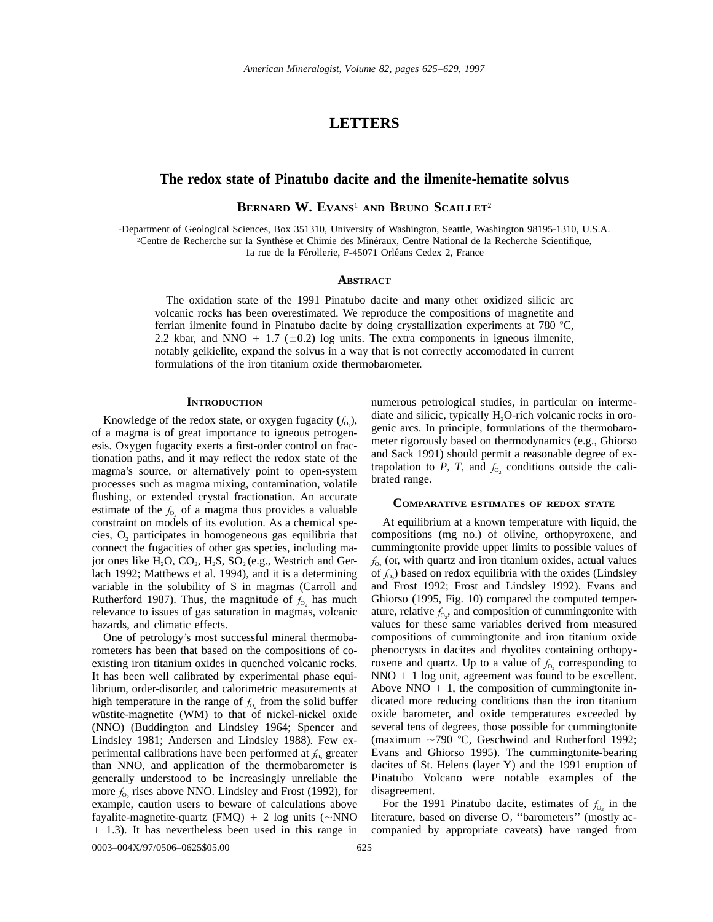# **LETTERS**

## **The redox state of Pinatubo dacite and the ilmenite-hematite solvus**

**BERNARD W. EVANS**<sup>1</sup> **AND BRUNO SCAILLET**<sup>2</sup>

1 Department of Geological Sciences, Box 351310, University of Washington, Seattle, Washington 98195-1310, U.S.A. <sup>2</sup>Centre de Recherche sur la Synthèse et Chimie des Minéraux, Centre National de la Recherche Scientifique, 1a rue de la Férollerie, F-45071 Orléans Cedex 2, France

### **ABSTRACT**

The oxidation state of the 1991 Pinatubo dacite and many other oxidized silicic arc volcanic rocks has been overestimated. We reproduce the compositions of magnetite and ferrian ilmenite found in Pinatubo dacite by doing crystallization experiments at 780 °C, 2.2 kbar, and NNO + 1.7 ( $\pm$ 0.2) log units. The extra components in igneous ilmenite, notably geikielite, expand the solvus in a way that is not correctly accomodated in current formulations of the iron titanium oxide thermobarometer.

#### **INTRODUCTION**

Knowledge of the redox state, or oxygen fugacity  $(f_{0_2})$ , of a magma is of great importance to igneous petrogenesis. Oxygen fugacity exerts a first-order control on fractionation paths, and it may reflect the redox state of the magma's source, or alternatively point to open-system processes such as magma mixing, contamination, volatile flushing, or extended crystal fractionation. An accurate estimate of the  $f_{0}$  of a magma thus provides a valuable constraint on models of its evolution. As a chemical species,  $O<sub>2</sub>$  participates in homogeneous gas equilibria that connect the fugacities of other gas species, including major ones like  $H_2O$ ,  $CO_2$ ,  $H_2S$ ,  $SO_2$  (e.g., Westrich and Gerlach 1992; Matthews et al. 1994), and it is a determining variable in the solubility of S in magmas (Carroll and Rutherford 1987). Thus, the magnitude of  $f_{0}$ , has much relevance to issues of gas saturation in magmas, volcanic hazards, and climatic effects.

One of petrology's most successful mineral thermobarometers has been that based on the compositions of coexisting iron titanium oxides in quenched volcanic rocks. It has been well calibrated by experimental phase equilibrium, order-disorder, and calorimetric measurements at high temperature in the range of  $f_{\text{o}}$ , from the solid buffer wüstite-magnetite (WM) to that of nickel-nickel oxide (NNO) (Buddington and Lindsley 1964; Spencer and Lindsley 1981; Andersen and Lindsley 1988). Few experimental calibrations have been performed at  $f_{\text{o}}$ , greater than NNO, and application of the thermobarometer is generally understood to be increasingly unreliable the more  $f_{0}$  rises above NNO. Lindsley and Frost (1992), for example, caution users to beware of calculations above fayalite-magnetite-quartz (FMQ) + 2 log units ( $\sim$ NNO 1 1.3). It has nevertheless been used in this range in numerous petrological studies, in particular on intermediate and silicic, typically  $H_2O$ -rich volcanic rocks in orogenic arcs. In principle, formulations of the thermobarometer rigorously based on thermodynamics (e.g., Ghiorso and Sack 1991) should permit a reasonable degree of extrapolation to  $P$ ,  $T$ , and  $f_{0}$ , conditions outside the calibrated range.

### **COMPARATIVE ESTIMATES OF REDOX STATE**

At equilibrium at a known temperature with liquid, the compositions (mg no.) of olivine, orthopyroxene, and cummingtonite provide upper limits to possible values of  $f_{0}$ , (or, with quartz and iron titanium oxides, actual values of  $f_{\text{o}}$ ) based on redox equilibria with the oxides (Lindsley and Frost 1992; Frost and Lindsley 1992). Evans and Ghiorso (1995, Fig. 10) compared the computed temperature, relative  $f_{\text{o}}$ , and composition of cummingtonite with values for these same variables derived from measured compositions of cummingtonite and iron titanium oxide phenocrysts in dacites and rhyolites containing orthopyroxene and quartz. Up to a value of  $f_0$ , corresponding to  $NNO + 1$  log unit, agreement was found to be excellent. Above NNO  $+$  1, the composition of cummingtonite indicated more reducing conditions than the iron titanium oxide barometer, and oxide temperatures exceeded by several tens of degrees, those possible for cummingtonite (maximum  $\sim$ 790 °C, Geschwind and Rutherford 1992; Evans and Ghiorso 1995). The cummingtonite-bearing dacites of St. Helens (layer Y) and the 1991 eruption of Pinatubo Volcano were notable examples of the disagreement.

For the 1991 Pinatubo dacite, estimates of  $f_{0}$  in the literature, based on diverse  $O_2$  "barometers" (mostly accompanied by appropriate caveats) have ranged from

0003–004X/97/0506–0625\$05.00 625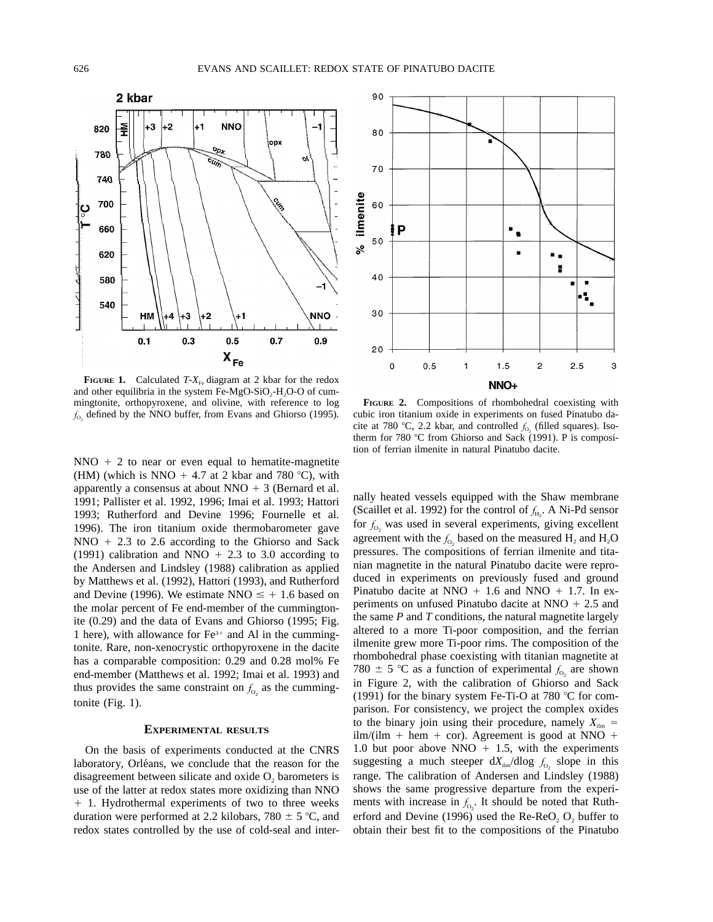

**FIGURE 1.** Calculated  $T-X_{F_0}$  diagram at 2 kbar for the redox and other equilibria in the system Fe-MgO-SiO<sub>2</sub>-H<sub>2</sub>O-O of cummingtonite, orthopyroxene, and olivine, with reference to log  $f_{0}$ , defined by the NNO buffer, from Evans and Ghiorso (1995).

 $NNO + 2$  to near or even equal to hematite-magnetite (HM) (which is NNO  $+$  4.7 at 2 kbar and 780 °C), with apparently a consensus at about NNO  $+$  3 (Bernard et al. 1991; Pallister et al. 1992, 1996; Imai et al. 1993; Hattori 1993; Rutherford and Devine 1996; Fournelle et al. 1996). The iron titanium oxide thermobarometer gave  $NNO + 2.3$  to 2.6 according to the Ghiorso and Sack (1991) calibration and NNO  $+$  2.3 to 3.0 according to the Andersen and Lindsley (1988) calibration as applied by Matthews et al. (1992), Hattori (1993), and Rutherford and Devine (1996). We estimate NNO  $\le$  + 1.6 based on the molar percent of Fe end-member of the cummingtonite (0.29) and the data of Evans and Ghiorso (1995; Fig. 1 here), with allowance for  $Fe<sup>3+</sup>$  and Al in the cummingtonite. Rare, non-xenocrystic orthopyroxene in the dacite has a comparable composition: 0.29 and 0.28 mol% Fe end-member (Matthews et al. 1992; Imai et al. 1993) and thus provides the same constraint on  $f_{\rm o}$  as the cummingtonite (Fig. 1).

## **EXPERIMENTAL RESULTS**

On the basis of experiments conducted at the CNRS laboratory, Orléans, we conclude that the reason for the disagreement between silicate and oxide  $O<sub>2</sub>$  barometers is use of the latter at redox states more oxidizing than NNO 1 1. Hydrothermal experiments of two to three weeks duration were performed at 2.2 kilobars, 780  $\pm$  5 °C, and redox states controlled by the use of cold-seal and inter-



**FIGURE 2.** Compositions of rhombohedral coexisting with cubic iron titanium oxide in experiments on fused Pinatubo dacite at 780 °C, 2.2 kbar, and controlled  $f_{0}$  (filled squares). Isotherm for 780 °C from Ghiorso and Sack (1991). P is composition of ferrian ilmenite in natural Pinatubo dacite.

nally heated vessels equipped with the Shaw membrane (Scaillet et al. 1992) for the control of  $f_{H_2}$ . A Ni-Pd sensor for  $f_0$ , was used in several experiments, giving excellent agreement with the  $f_0$  based on the measured  $H_2$  and  $H_2O$ pressures. The compositions of ferrian ilmenite and titanian magnetite in the natural Pinatubo dacite were reproduced in experiments on previously fused and ground Pinatubo dacite at NNO  $+$  1.6 and NNO  $+$  1.7. In experiments on unfused Pinatubo dacite at NNO  $+ 2.5$  and the same *P* and *T* conditions, the natural magnetite largely altered to a more Ti-poor composition, and the ferrian ilmenite grew more Ti-poor rims. The composition of the rhombohedral phase coexisting with titanian magnetite at 780  $\pm$  5 °C as a function of experimental  $f_{0}$  are shown in Figure 2, with the calibration of Ghiorso and Sack (1991) for the binary system Fe-Ti-O at 780  $^{\circ}$ C for comparison. For consistency, we project the complex oxides to the binary join using their procedure, namely  $X_{\text{lim}} =$  $ilm/(ilm + hem + cor)$ . Agreement is good at NNO + 1.0 but poor above NNO  $+$  1.5, with the experiments suggesting a much steeper  $dX_{\text{lim}}/d\log f_{0}$ , slope in this range. The calibration of Andersen and Lindsley (1988) shows the same progressive departure from the experiments with increase in  $f_{0}$ . It should be noted that Rutherford and Devine (1996) used the  $Re-ReO<sub>2</sub>$ ,  $O<sub>2</sub>$  buffer to obtain their best fit to the compositions of the Pinatubo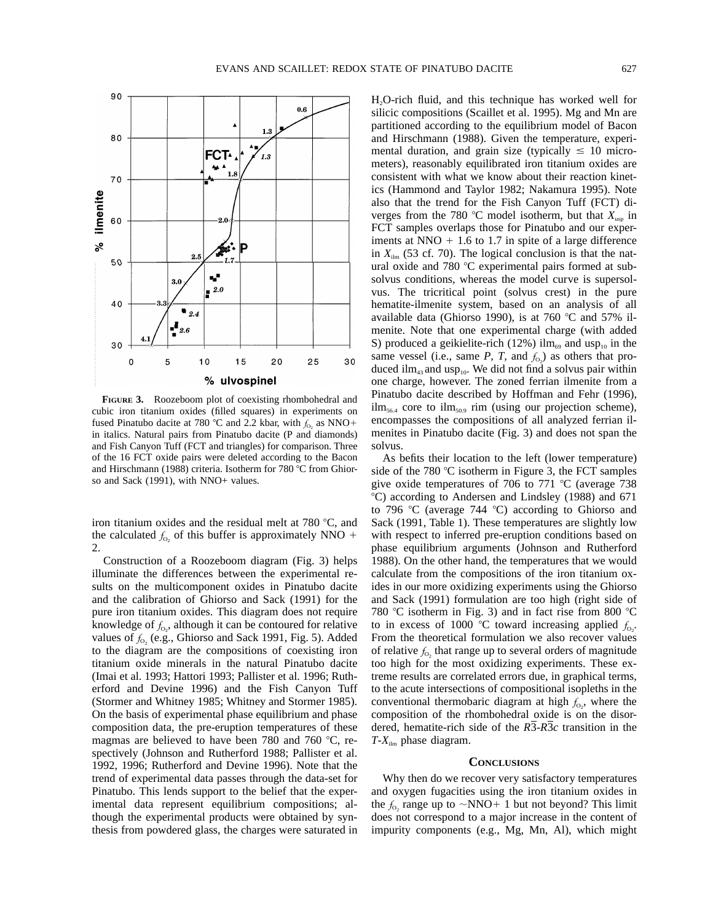

**FIGURE 3.** Roozeboom plot of coexisting rhombohedral and cubic iron titanium oxides (filled squares) in experiments on fused Pinatubo dacite at 780 °C and 2.2 kbar, with  $f<sub>0</sub>$  as NNO+ in italics. Natural pairs from Pinatubo dacite (P and diamonds) and Fish Canyon Tuff (FCT and triangles) for comparison. Three of the 16 FCT oxide pairs were deleted according to the Bacon and Hirschmann (1988) criteria. Isotherm for  $780^{\circ}$ C from Ghiorso and Sack (1991), with NNO+ values.

 $15$ 

% ulvospinel

 $20$ 

25

30

 $2.5$ 

 $\bullet$  2.4  $\mathbf{I}_{2.6}$ 

 $3.0$ 

5

v,

 $\frac{1}{2}$ .0

 $10$ 

90

80

 $70$ 

50

40

30

 $\mathbf 0$ 

% ilmenite 60

iron titanium oxides and the residual melt at  $780^{\circ}$ C, and the calculated  $f_{0}$  of this buffer is approximately NNO + 2.

Construction of a Roozeboom diagram (Fig. 3) helps illuminate the differences between the experimental results on the multicomponent oxides in Pinatubo dacite and the calibration of Ghiorso and Sack (1991) for the pure iron titanium oxides. This diagram does not require knowledge of  $f_{0<sub>2</sub>}$ , although it can be contoured for relative values of  $f_{0}$ , (e.g., Ghiorso and Sack 1991, Fig. 5). Added to the diagram are the compositions of coexisting iron titanium oxide minerals in the natural Pinatubo dacite (Imai et al. 1993; Hattori 1993; Pallister et al. 1996; Rutherford and Devine 1996) and the Fish Canyon Tuff (Stormer and Whitney 1985; Whitney and Stormer 1985). On the basis of experimental phase equilibrium and phase composition data, the pre-eruption temperatures of these magmas are believed to have been 780 and 760  $^{\circ}$ C, respectively (Johnson and Rutherford 1988; Pallister et al. 1992, 1996; Rutherford and Devine 1996). Note that the trend of experimental data passes through the data-set for Pinatubo. This lends support to the belief that the experimental data represent equilibrium compositions; although the experimental products were obtained by synthesis from powdered glass, the charges were saturated in

H2O-rich fluid, and this technique has worked well for silicic compositions (Scaillet et al. 1995). Mg and Mn are partitioned according to the equilibrium model of Bacon and Hirschmann (1988). Given the temperature, experimental duration, and grain size (typically  $\leq 10$  micrometers), reasonably equilibrated iron titanium oxides are consistent with what we know about their reaction kinetics (Hammond and Taylor 1982; Nakamura 1995). Note also that the trend for the Fish Canyon Tuff (FCT) diverges from the 780 °C model isotherm, but that  $X_{\text{usp}}$  in FCT samples overlaps those for Pinatubo and our experiments at NNO  $+$  1.6 to 1.7 in spite of a large difference in  $X_{\text{lim}}$  (53 cf. 70). The logical conclusion is that the natural oxide and 780  $\degree$ C experimental pairs formed at subsolvus conditions, whereas the model curve is supersolvus. The tricritical point (solvus crest) in the pure hematite-ilmenite system, based on an analysis of all available data (Ghiorso 1990), is at 760  $\degree$ C and 57% ilmenite. Note that one experimental charge (with added S) produced a geikielite-rich (12%) ilm<sub>69</sub> and usp<sub>10</sub> in the same vessel (i.e., same  $P$ ,  $T$ , and  $f_{0<sub>2</sub>}$ ) as others that produced ilm<sub>43</sub> and usp<sub>10</sub>. We did not find a solvus pair within one charge, however. The zoned ferrian ilmenite from a Pinatubo dacite described by Hoffman and Fehr (1996),  $\lim_{56.4}$  core to  $\lim_{50.9}$  rim (using our projection scheme), encompasses the compositions of all analyzed ferrian ilmenites in Pinatubo dacite (Fig. 3) and does not span the solvus.

As befits their location to the left (lower temperature) side of the 780  $\degree$ C isotherm in Figure 3, the FCT samples give oxide temperatures of 706 to 771  $°C$  (average 738 8C) according to Andersen and Lindsley (1988) and 671 to 796 °C (average 744 °C) according to Ghiorso and Sack (1991, Table 1). These temperatures are slightly low with respect to inferred pre-eruption conditions based on phase equilibrium arguments (Johnson and Rutherford 1988). On the other hand, the temperatures that we would calculate from the compositions of the iron titanium oxides in our more oxidizing experiments using the Ghiorso and Sack (1991) formulation are too high (right side of 780 °C isotherm in Fig. 3) and in fact rise from 800 °C to in excess of 1000 °C toward increasing applied  $f_{0_2}$ . From the theoretical formulation we also recover values of relative  $f<sub>o</sub>$ , that range up to several orders of magnitude too high for the most oxidizing experiments. These extreme results are correlated errors due, in graphical terms, to the acute intersections of compositional isopleths in the conventional thermobaric diagram at high  $f_{0<sub>2</sub>}$ , where the composition of the rhombohedral oxide is on the disordered, hematite-rich side of the *R*3-*R*3*c* transition in the  $T$ - $X_{\text{ilm}}$  phase diagram.

### **CONCLUSIONS**

Why then do we recover very satisfactory temperatures and oxygen fugacities using the iron titanium oxides in the  $f_0$ , range up to  $\sim NNO+1$  but not beyond? This limit does not correspond to a major increase in the content of impurity components (e.g., Mg, Mn, Al), which might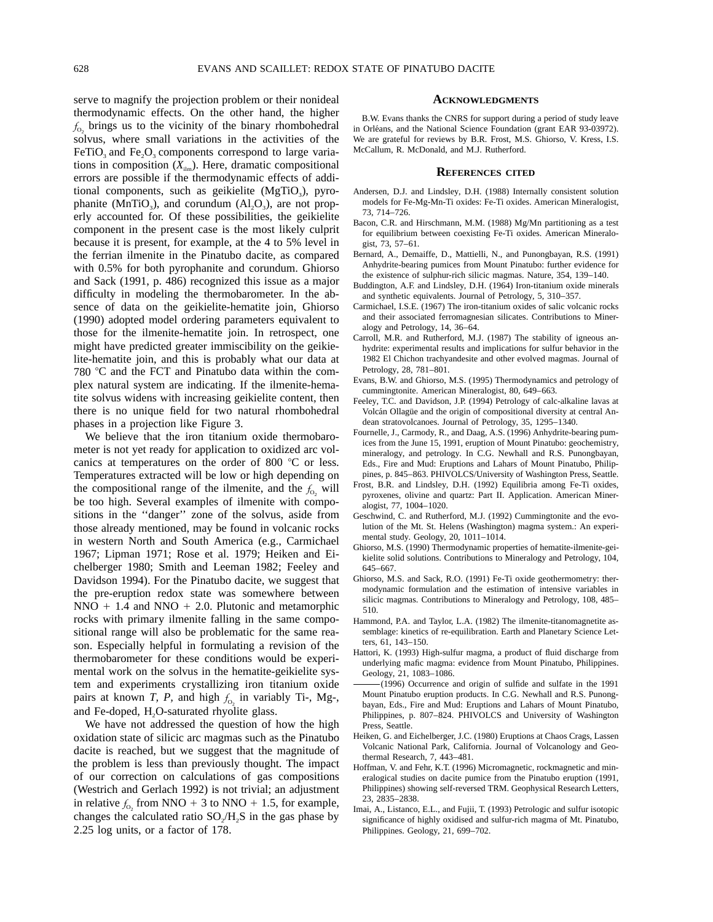serve to magnify the projection problem or their nonideal thermodynamic effects. On the other hand, the higher  $f<sub>o</sub>$ , brings us to the vicinity of the binary rhombohedral solvus, where small variations in the activities of the  $FeTiO<sub>3</sub>$  and  $Fe<sub>2</sub>O<sub>3</sub>$  components correspond to large variations in composition  $(X_{\text{lim}})$ . Here, dramatic compositional errors are possible if the thermodynamic effects of additional components, such as geikielite  $(MgTiO<sub>3</sub>)$ , pyrophanite (MnTiO<sub>3</sub>), and corundum ( $Al_2O_3$ ), are not properly accounted for. Of these possibilities, the geikielite component in the present case is the most likely culprit because it is present, for example, at the 4 to 5% level in the ferrian ilmenite in the Pinatubo dacite, as compared with 0.5% for both pyrophanite and corundum. Ghiorso and Sack (1991, p. 486) recognized this issue as a major difficulty in modeling the thermobarometer. In the absence of data on the geikielite-hematite join, Ghiorso (1990) adopted model ordering parameters equivalent to those for the ilmenite-hematite join. In retrospect, one might have predicted greater immiscibility on the geikielite-hematite join, and this is probably what our data at  $780$  °C and the FCT and Pinatubo data within the complex natural system are indicating. If the ilmenite-hematite solvus widens with increasing geikielite content, then there is no unique field for two natural rhombohedral phases in a projection like Figure 3.

We believe that the iron titanium oxide thermobarometer is not yet ready for application to oxidized arc volcanics at temperatures on the order of 800  $\degree$ C or less. Temperatures extracted will be low or high depending on the compositional range of the ilmenite, and the  $f_0$  will be too high. Several examples of ilmenite with compositions in the ''danger'' zone of the solvus, aside from those already mentioned, may be found in volcanic rocks in western North and South America (e.g., Carmichael 1967; Lipman 1971; Rose et al. 1979; Heiken and Eichelberger 1980; Smith and Leeman 1982; Feeley and Davidson 1994). For the Pinatubo dacite, we suggest that the pre-eruption redox state was somewhere between  $NNO + 1.4$  and  $NNO + 2.0$ . Plutonic and metamorphic rocks with primary ilmenite falling in the same compositional range will also be problematic for the same reason. Especially helpful in formulating a revision of the thermobarometer for these conditions would be experimental work on the solvus in the hematite-geikielite system and experiments crystallizing iron titanium oxide pairs at known *T*, *P*, and high  $f_0$  in variably Ti-, Mg-, and Fe-doped,  $H<sub>2</sub>O$ -saturated rhyolite glass.

We have not addressed the question of how the high oxidation state of silicic arc magmas such as the Pinatubo dacite is reached, but we suggest that the magnitude of the problem is less than previously thought. The impact of our correction on calculations of gas compositions (Westrich and Gerlach 1992) is not trivial; an adjustment in relative  $f_{0}$  from NNO + 3 to NNO + 1.5, for example, changes the calculated ratio  $SO_2/H_2S$  in the gas phase by 2.25 log units, or a factor of 178.

#### **ACKNOWLEDGMENTS**

B.W. Evans thanks the CNRS for support during a period of study leave in Orléans, and the National Science Foundation (grant EAR 93-03972). We are grateful for reviews by B.R. Frost, M.S. Ghiorso, V. Kress, I.S. McCallum, R. McDonald, and M.J. Rutherford.

#### **REFERENCES CITED**

- Andersen, D.J. and Lindsley, D.H. (1988) Internally consistent solution models for Fe-Mg-Mn-Ti oxides: Fe-Ti oxides. American Mineralogist, 73, 714–726.
- Bacon, C.R. and Hirschmann, M.M. (1988) Mg/Mn partitioning as a test for equilibrium between coexisting Fe-Ti oxides. American Mineralogist, 73, 57–61.
- Bernard, A., Demaiffe, D., Mattielli, N., and Punongbayan, R.S. (1991) Anhydrite-bearing pumices from Mount Pinatubo: further evidence for the existence of sulphur-rich silicic magmas. Nature, 354, 139–140.
- Buddington, A.F. and Lindsley, D.H. (1964) Iron-titanium oxide minerals and synthetic equivalents. Journal of Petrology, 5, 310–357.
- Carmichael, I.S.E. (1967) The iron-titanium oxides of salic volcanic rocks and their associated ferromagnesian silicates. Contributions to Mineralogy and Petrology, 14, 36–64.
- Carroll, M.R. and Rutherford, M.J. (1987) The stability of igneous anhydrite: experimental results and implications for sulfur behavior in the 1982 El Chichon trachyandesite and other evolved magmas. Journal of Petrology, 28, 781–801.
- Evans, B.W. and Ghiorso, M.S. (1995) Thermodynamics and petrology of cummingtonite. American Mineralogist, 80, 649–663.
- Feeley, T.C. and Davidson, J.P. (1994) Petrology of calc-alkaline lavas at Volcán Ollagüe and the origin of compositional diversity at central Andean stratovolcanoes. Journal of Petrology, 35, 1295–1340.
- Fournelle, J., Carmody, R., and Daag, A.S. (1996) Anhydrite-bearing pumices from the June 15, 1991, eruption of Mount Pinatubo: geochemistry, mineralogy, and petrology. In C.G. Newhall and R.S. Punongbayan, Eds., Fire and Mud: Eruptions and Lahars of Mount Pinatubo, Philippines, p. 845–863. PHIVOLCS/University of Washington Press, Seattle.
- Frost, B.R. and Lindsley, D.H. (1992) Equilibria among Fe-Ti oxides, pyroxenes, olivine and quartz: Part II. Application. American Mineralogist, 77, 1004–1020.
- Geschwind, C. and Rutherford, M.J. (1992) Cummingtonite and the evolution of the Mt. St. Helens (Washington) magma system.: An experimental study. Geology, 20, 1011–1014.
- Ghiorso, M.S. (1990) Thermodynamic properties of hematite-ilmenite-geikielite solid solutions. Contributions to Mineralogy and Petrology, 104, 645–667.
- Ghiorso, M.S. and Sack, R.O. (1991) Fe-Ti oxide geothermometry: thermodynamic formulation and the estimation of intensive variables in silicic magmas. Contributions to Mineralogy and Petrology, 108, 485– 510.
- Hammond, P.A. and Taylor, L.A. (1982) The ilmenite-titanomagnetite assemblage: kinetics of re-equilibration. Earth and Planetary Science Letters, 61, 143–150.
- Hattori, K. (1993) High-sulfur magma, a product of fluid discharge from underlying mafic magma: evidence from Mount Pinatubo, Philippines. Geology, 21, 1083–1086.
- (1996) Occurrence and origin of sulfide and sulfate in the 1991 Mount Pinatubo eruption products. In C.G. Newhall and R.S. Punongbayan, Eds., Fire and Mud: Eruptions and Lahars of Mount Pinatubo, Philippines, p. 807–824. PHIVOLCS and University of Washington Press, Seattle.
- Heiken, G. and Eichelberger, J.C. (1980) Eruptions at Chaos Crags, Lassen Volcanic National Park, California. Journal of Volcanology and Geothermal Research, 7, 443–481.
- Hoffman, V. and Fehr, K.T. (1996) Micromagnetic, rockmagnetic and mineralogical studies on dacite pumice from the Pinatubo eruption (1991, Philippines) showing self-reversed TRM. Geophysical Research Letters, 23, 2835–2838.
- Imai, A., Listanco, E.L., and Fujii, T. (1993) Petrologic and sulfur isotopic significance of highly oxidised and sulfur-rich magma of Mt. Pinatubo, Philippines. Geology, 21, 699–702.